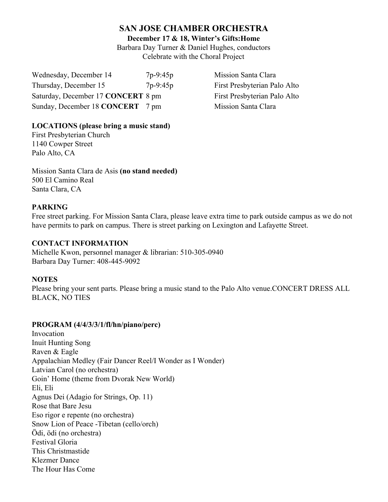# **SAN JOSE CHAMBER ORCHESTRA**

**December 17 & 18, Winter's Gifts:Home**

Barbara Day Turner & Daniel Hughes, conductors Celebrate with the Choral Project

Wednesday, December 14 7p-9:45p Mission Santa Clara Thursday, December 15 7p-9:45p First Presbyterian Palo Alto Saturday, December 17 **CONCERT** 8 pm First Presbyterian Palo Alto Sunday, December 18 **CONCERT** 7 pm Mission Santa Clara

## **LOCATIONS (please bring a music stand)**

First Presbyterian Church 1140 Cowper Street Palo Alto, CA

Mission Santa Clara de Asis **(no stand needed)** 500 El Camino Real Santa Clara, CA

## **PARKING**

Free street parking. For Mission Santa Clara, please leave extra time to park outside campus as we do not have permits to park on campus. There is street parking on Lexington and Lafayette Street.

### **CONTACT INFORMATION**

Michelle Kwon, personnel manager & librarian: 510-305-0940 Barbara Day Turner: 408-445-9092

#### **NOTES**

Please bring your sent parts. Please bring a music stand to the Palo Alto venue.CONCERT DRESS ALL BLACK, NO TIES

## **PROGRAM (4/4/3/3/1/fl/hn/piano/perc)**

Invocation Inuit Hunting Song Raven & Eagle Appalachian Medley (Fair Dancer Reel/I Wonder as I Wonder) Latvian Carol (no orchestra) Goin' Home (theme from Dvorak New World) Eli, Eli Agnus Dei (Adagio for Strings, Op. 11) Rose that Bare Jesu Eso rigor e repente (no orchestra) Snow Lion of Peace -Tibetan (cello/orch) Ödi, ödi (no orchestra) Festival Gloria This Christmastide Klezmer Dance The Hour Has Come